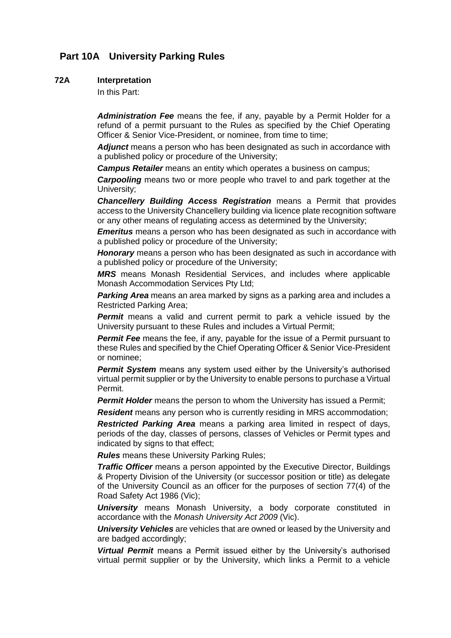# **Part 10A University Parking Rules**

## **72A Interpretation**

In this Part:

*Administration Fee* means the fee, if any, payable by a Permit Holder for a refund of a permit pursuant to the Rules as specified by the Chief Operating Officer & Senior Vice-President, or nominee, from time to time;

Adjunct means a person who has been designated as such in accordance with a published policy or procedure of the University;

*Campus Retailer* means an entity which operates a business on campus;

*Carpooling* means two or more people who travel to and park together at the University;

*Chancellery Building Access Registration* means a Permit that provides access to the University Chancellery building via licence plate recognition software or any other means of regulating access as determined by the University;

*Emeritus* means a person who has been designated as such in accordance with a published policy or procedure of the University;

*Honorary* means a person who has been designated as such in accordance with a published policy or procedure of the University;

*MRS* means Monash Residential Services, and includes where applicable Monash Accommodation Services Pty Ltd;

**Parking Area** means an area marked by signs as a parking area and includes a Restricted Parking Area;

**Permit** means a valid and current permit to park a vehicle issued by the University pursuant to these Rules and includes a Virtual Permit;

**Permit Fee** means the fee, if any, payable for the issue of a Permit pursuant to these Rules and specified by the Chief Operating Officer & Senior Vice-President or nominee;

*Permit System* means any system used either by the University's authorised virtual permit supplier or by the University to enable persons to purchase a Virtual Permit.

**Permit Holder** means the person to whom the University has issued a Permit;

**Resident** means any person who is currently residing in MRS accommodation;

*Restricted Parking Area* means a parking area limited in respect of days, periods of the day, classes of persons, classes of Vehicles or Permit types and indicated by signs to that effect;

*Rules* means these University Parking Rules;

*Traffic Officer* means a person appointed by the Executive Director, Buildings & Property Division of the University (or successor position or title) as delegate of the University Council as an officer for the purposes of section 77(4) of the Road Safety Act 1986 (Vic);

*University* means Monash University, a body corporate constituted in accordance with the *Monash University Act 2009* (Vic).

*University Vehicles* are vehicles that are owned or leased by the University and are badged accordingly;

*Virtual Permit* means a Permit issued either by the University's authorised virtual permit supplier or by the University, which links a Permit to a vehicle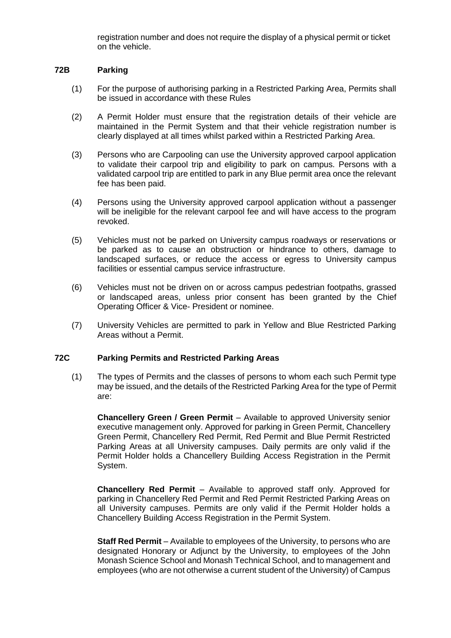registration number and does not require the display of a physical permit or ticket on the vehicle.

## **72B Parking**

- (1) For the purpose of authorising parking in a Restricted Parking Area, Permits shall be issued in accordance with these Rules
- (2) A Permit Holder must ensure that the registration details of their vehicle are maintained in the Permit System and that their vehicle registration number is clearly displayed at all times whilst parked within a Restricted Parking Area.
- (3) Persons who are Carpooling can use the University approved carpool application to validate their carpool trip and eligibility to park on campus. Persons with a validated carpool trip are entitled to park in any Blue permit area once the relevant fee has been paid.
- (4) Persons using the University approved carpool application without a passenger will be ineligible for the relevant carpool fee and will have access to the program revoked.
- (5) Vehicles must not be parked on University campus roadways or reservations or be parked as to cause an obstruction or hindrance to others, damage to landscaped surfaces, or reduce the access or egress to University campus facilities or essential campus service infrastructure.
- (6) Vehicles must not be driven on or across campus pedestrian footpaths, grassed or landscaped areas, unless prior consent has been granted by the Chief Operating Officer & Vice- President or nominee.
- (7) University Vehicles are permitted to park in Yellow and Blue Restricted Parking Areas without a Permit.

#### **72C Parking Permits and Restricted Parking Areas**

(1) The types of Permits and the classes of persons to whom each such Permit type may be issued, and the details of the Restricted Parking Area for the type of Permit are:

**Chancellery Green / Green Permit** – Available to approved University senior executive management only. Approved for parking in Green Permit, Chancellery Green Permit, Chancellery Red Permit, Red Permit and Blue Permit Restricted Parking Areas at all University campuses. Daily permits are only valid if the Permit Holder holds a Chancellery Building Access Registration in the Permit System.

**Chancellery Red Permit** – Available to approved staff only. Approved for parking in Chancellery Red Permit and Red Permit Restricted Parking Areas on all University campuses. Permits are only valid if the Permit Holder holds a Chancellery Building Access Registration in the Permit System.

**Staff Red Permit** – Available to employees of the University, to persons who are designated Honorary or Adjunct by the University, to employees of the John Monash Science School and Monash Technical School, and to management and employees (who are not otherwise a current student of the University) of Campus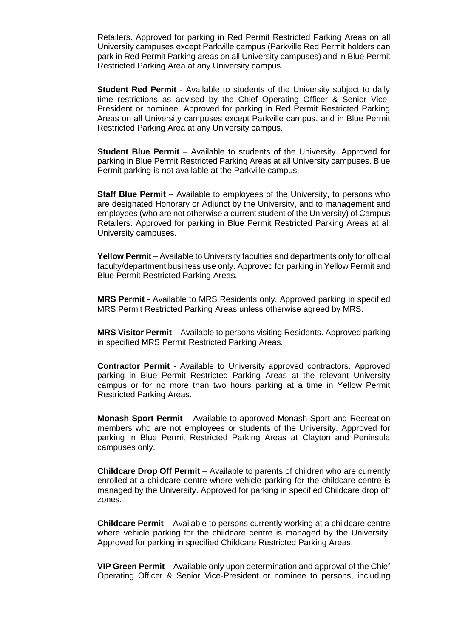Retailers. Approved for parking in Red Permit Restricted Parking Areas on all University campuses except Parkville campus (Parkville Red Permit holders can park in Red Permit Parking areas on all University campuses) and in Blue Permit Restricted Parking Area at any University campus.

**Student Red Permit** - Available to students of the University subject to daily time restrictions as advised by the Chief Operating Officer & Senior Vice-President or nominee. Approved for parking in Red Permit Restricted Parking Areas on all University campuses except Parkville campus, and in Blue Permit Restricted Parking Area at any University campus.

**Student Blue Permit** – Available to students of the University. Approved for parking in Blue Permit Restricted Parking Areas at all University campuses. Blue Permit parking is not available at the Parkville campus.

**Staff Blue Permit** – Available to employees of the University, to persons who are designated Honorary or Adjunct by the University, and to management and employees (who are not otherwise a current student of the University) of Campus Retailers. Approved for parking in Blue Permit Restricted Parking Areas at all University campuses.

**Yellow Permit** – Available to University faculties and departments only for official faculty/department business use only. Approved for parking in Yellow Permit and Blue Permit Restricted Parking Areas.

**MRS Permit** - Available to MRS Residents only. Approved parking in specified MRS Permit Restricted Parking Areas unless otherwise agreed by MRS.

**MRS Visitor Permit** – Available to persons visiting Residents. Approved parking in specified MRS Permit Restricted Parking Areas.

**Contractor Permit** - Available to University approved contractors. Approved parking in Blue Permit Restricted Parking Areas at the relevant University campus or for no more than two hours parking at a time in Yellow Permit Restricted Parking Areas.

**Monash Sport Permit** – Available to approved Monash Sport and Recreation members who are not employees or students of the University. Approved for parking in Blue Permit Restricted Parking Areas at Clayton and Peninsula campuses only.

**Childcare Drop Off Permit** – Available to parents of children who are currently enrolled at a childcare centre where vehicle parking for the childcare centre is managed by the University. Approved for parking in specified Childcare drop off zones.

**Childcare Permit** – Available to persons currently working at a childcare centre where vehicle parking for the childcare centre is managed by the University. Approved for parking in specified Childcare Restricted Parking Areas.

**VIP Green Permit** – Available only upon determination and approval of the Chief Operating Officer & Senior Vice-President or nominee to persons, including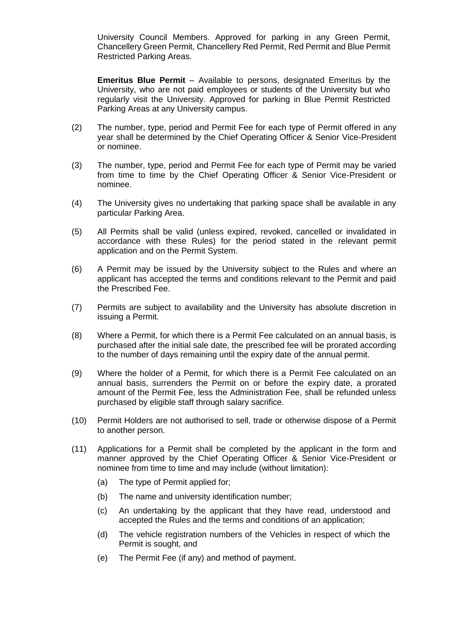University Council Members. Approved for parking in any Green Permit, Chancellery Green Permit, Chancellery Red Permit, Red Permit and Blue Permit Restricted Parking Areas.

**Emeritus Blue Permit** – Available to persons, designated Emeritus by the University, who are not paid employees or students of the University but who regularly visit the University. Approved for parking in Blue Permit Restricted Parking Areas at any University campus.

- (2) The number, type, period and Permit Fee for each type of Permit offered in any year shall be determined by the Chief Operating Officer & Senior Vice-President or nominee.
- (3) The number, type, period and Permit Fee for each type of Permit may be varied from time to time by the Chief Operating Officer & Senior Vice-President or nominee.
- (4) The University gives no undertaking that parking space shall be available in any particular Parking Area.
- (5) All Permits shall be valid (unless expired, revoked, cancelled or invalidated in accordance with these Rules) for the period stated in the relevant permit application and on the Permit System.
- (6) A Permit may be issued by the University subject to the Rules and where an applicant has accepted the terms and conditions relevant to the Permit and paid the Prescribed Fee.
- (7) Permits are subject to availability and the University has absolute discretion in issuing a Permit.
- (8) Where a Permit, for which there is a Permit Fee calculated on an annual basis, is purchased after the initial sale date, the prescribed fee will be prorated according to the number of days remaining until the expiry date of the annual permit.
- (9) Where the holder of a Permit, for which there is a Permit Fee calculated on an annual basis, surrenders the Permit on or before the expiry date, a prorated amount of the Permit Fee, less the Administration Fee, shall be refunded unless purchased by eligible staff through salary sacrifice.
- (10) Permit Holders are not authorised to sell, trade or otherwise dispose of a Permit to another person.
- (11) Applications for a Permit shall be completed by the applicant in the form and manner approved by the Chief Operating Officer & Senior Vice-President or nominee from time to time and may include (without limitation):
	- (a) The type of Permit applied for;
	- (b) The name and university identification number;
	- (c) An undertaking by the applicant that they have read, understood and accepted the Rules and the terms and conditions of an application;
	- (d) The vehicle registration numbers of the Vehicles in respect of which the Permit is sought, and
	- (e) The Permit Fee (if any) and method of payment.